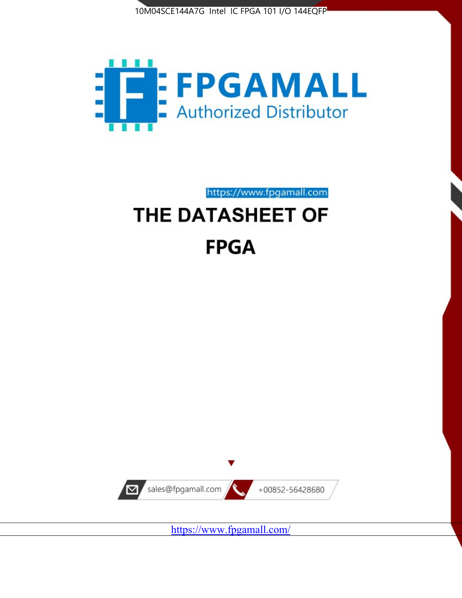



https://www.fpgamall.com

# THE DATASHEET OF **FPGA**



<https://www.fpgamall.com/>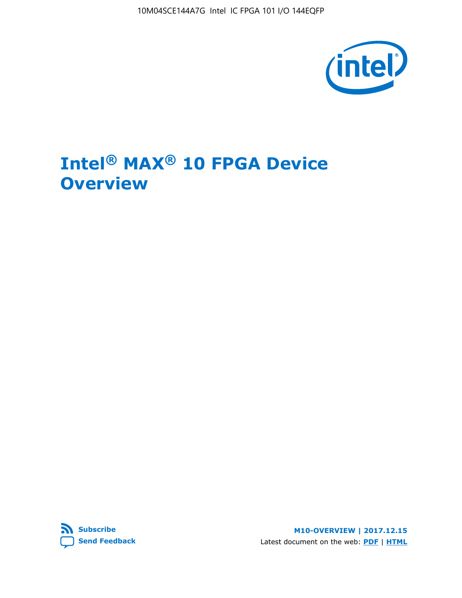10M04SCE144A7G Intel IC FPGA 101 I/O 144EQFP



# **Intel® MAX® 10 FPGA Device Overview**



**M10-OVERVIEW | 2017.12.15** Latest document on the web: **[PDF](https://www.altera.com/en_US/pdfs/literature/hb/max-10/m10_overview.pdf)** | **[HTML](https://www.altera.com/documentation/myt1396938463674.html)**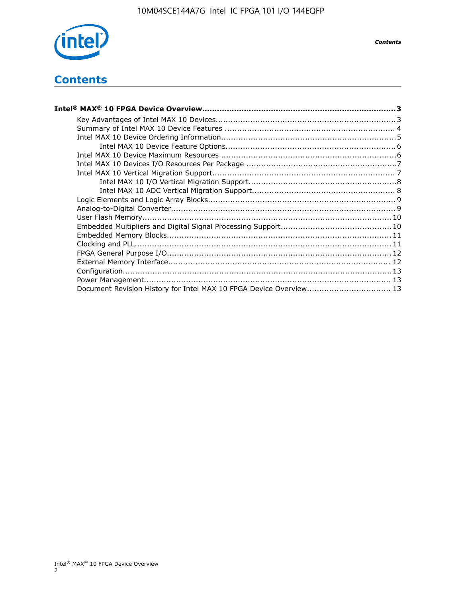

## **Contents**

| Intel® MAX® 10 FPGA Device Overview……………………………………………………………………………3  |  |
|--------------------------------------------------------------------|--|
|                                                                    |  |
|                                                                    |  |
|                                                                    |  |
|                                                                    |  |
|                                                                    |  |
|                                                                    |  |
|                                                                    |  |
|                                                                    |  |
|                                                                    |  |
|                                                                    |  |
|                                                                    |  |
|                                                                    |  |
|                                                                    |  |
|                                                                    |  |
|                                                                    |  |
|                                                                    |  |
|                                                                    |  |
|                                                                    |  |
|                                                                    |  |
| Document Revision History for Intel MAX 10 FPGA Device Overview 13 |  |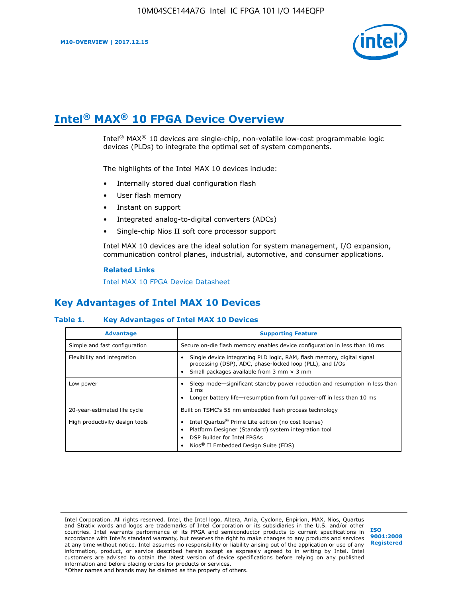

# **Intel® MAX® 10 FPGA Device Overview**

Intel® MAX® 10 devices are single-chip, non-volatile low-cost programmable logic devices (PLDs) to integrate the optimal set of system components.

The highlights of the Intel MAX 10 devices include:

- Internally stored dual configuration flash
- User flash memory
- Instant on support
- Integrated analog-to-digital converters (ADCs)
- Single-chip Nios II soft core processor support

Intel MAX 10 devices are the ideal solution for system management, I/O expansion, communication control planes, industrial, automotive, and consumer applications.

#### **Related Links**

[Intel MAX 10 FPGA Device Datasheet](https://www.altera.com/documentation/mcn1397700832153.html#mcn1397643748870)

## **Key Advantages of Intel MAX 10 Devices**

#### **Table 1. Key Advantages of Intel MAX 10 Devices**

| <b>Advantage</b>               | <b>Supporting Feature</b>                                                                                                                                                                                  |  |  |  |
|--------------------------------|------------------------------------------------------------------------------------------------------------------------------------------------------------------------------------------------------------|--|--|--|
| Simple and fast configuration  | Secure on-die flash memory enables device configuration in less than 10 ms                                                                                                                                 |  |  |  |
| Flexibility and integration    | Single device integrating PLD logic, RAM, flash memory, digital signal<br>processing (DSP), ADC, phase-locked loop (PLL), and I/Os<br>Small packages available from 3 mm $\times$ 3 mm                     |  |  |  |
| Low power                      | Sleep mode—significant standby power reduction and resumption in less than<br>$1 \text{ ms}$<br>Longer battery life-resumption from full power-off in less than 10 ms                                      |  |  |  |
| 20-year-estimated life cycle   | Built on TSMC's 55 nm embedded flash process technology                                                                                                                                                    |  |  |  |
| High productivity design tools | Intel Quartus <sup>®</sup> Prime Lite edition (no cost license)<br>Platform Designer (Standard) system integration tool<br>DSP Builder for Intel FPGAs<br>Nios <sup>®</sup> II Embedded Design Suite (EDS) |  |  |  |

Intel Corporation. All rights reserved. Intel, the Intel logo, Altera, Arria, Cyclone, Enpirion, MAX, Nios, Quartus and Stratix words and logos are trademarks of Intel Corporation or its subsidiaries in the U.S. and/or other countries. Intel warrants performance of its FPGA and semiconductor products to current specifications in accordance with Intel's standard warranty, but reserves the right to make changes to any products and services at any time without notice. Intel assumes no responsibility or liability arising out of the application or use of any information, product, or service described herein except as expressly agreed to in writing by Intel. Intel customers are advised to obtain the latest version of device specifications before relying on any published information and before placing orders for products or services. \*Other names and brands may be claimed as the property of others.

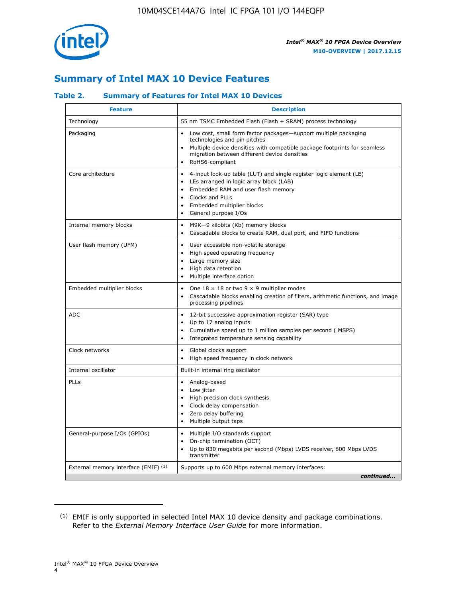

## **Summary of Intel MAX 10 Device Features**

### **Table 2. Summary of Features for Intel MAX 10 Devices**

| <b>Feature</b>                       | <b>Description</b>                                                                                                                                                                                                                                                                            |
|--------------------------------------|-----------------------------------------------------------------------------------------------------------------------------------------------------------------------------------------------------------------------------------------------------------------------------------------------|
| Technology                           | 55 nm TSMC Embedded Flash (Flash + SRAM) process technology                                                                                                                                                                                                                                   |
| Packaging                            | Low cost, small form factor packages-support multiple packaging<br>technologies and pin pitches<br>Multiple device densities with compatible package footprints for seamless<br>migration between different device densities<br>RoHS6-compliant                                               |
| Core architecture                    | 4-input look-up table (LUT) and single register logic element (LE)<br>$\bullet$<br>LEs arranged in logic array block (LAB)<br>$\bullet$<br>Embedded RAM and user flash memory<br>$\bullet$<br>Clocks and PLLs<br>$\bullet$<br>Embedded multiplier blocks<br>General purpose I/Os<br>$\bullet$ |
| Internal memory blocks               | M9K-9 kilobits (Kb) memory blocks<br>$\bullet$<br>Cascadable blocks to create RAM, dual port, and FIFO functions<br>$\bullet$                                                                                                                                                                 |
| User flash memory (UFM)              | User accessible non-volatile storage<br>$\bullet$<br>High speed operating frequency<br>$\bullet$<br>Large memory size<br>$\bullet$<br>High data retention<br>$\bullet$<br>Multiple interface option                                                                                           |
| Embedded multiplier blocks           | One $18 \times 18$ or two 9 $\times$ 9 multiplier modes<br>$\bullet$<br>Cascadable blocks enabling creation of filters, arithmetic functions, and image<br>processing pipelines                                                                                                               |
| <b>ADC</b>                           | 12-bit successive approximation register (SAR) type<br>$\bullet$<br>Up to 17 analog inputs<br>$\bullet$<br>Cumulative speed up to 1 million samples per second (MSPS)<br>Integrated temperature sensing capability                                                                            |
| Clock networks                       | Global clocks support<br>$\bullet$<br>High speed frequency in clock network                                                                                                                                                                                                                   |
| Internal oscillator                  | Built-in internal ring oscillator                                                                                                                                                                                                                                                             |
| PLLs                                 | Analog-based<br>Low jitter<br>$\bullet$<br>High precision clock synthesis<br>$\bullet$<br>Clock delay compensation<br>$\bullet$<br>Zero delay buffering<br>$\bullet$<br>Multiple output taps<br>$\bullet$                                                                                     |
| General-purpose I/Os (GPIOs)         | • Multiple I/O standards support<br>On-chip termination (OCT)<br>$\bullet$<br>Up to 830 megabits per second (Mbps) LVDS receiver, 800 Mbps LVDS<br>transmitter                                                                                                                                |
| External memory interface (EMIF) (1) | Supports up to 600 Mbps external memory interfaces:<br>continued                                                                                                                                                                                                                              |

<sup>(1)</sup> EMIF is only supported in selected Intel MAX 10 device density and package combinations. Refer to the *External Memory Interface User Guide* for more information.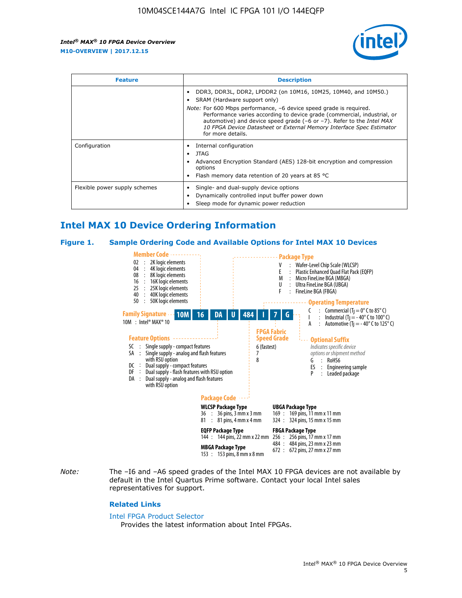

| <b>Feature</b>                | <b>Description</b>                                                                                                                                                                                                                                                                                                                                                                                                                               |  |  |  |
|-------------------------------|--------------------------------------------------------------------------------------------------------------------------------------------------------------------------------------------------------------------------------------------------------------------------------------------------------------------------------------------------------------------------------------------------------------------------------------------------|--|--|--|
|                               | DDR3, DDR3L, DDR2, LPDDR2 (on 10M16, 10M25, 10M40, and 10M50.)<br>SRAM (Hardware support only)<br><i>Note:</i> For 600 Mbps performance, -6 device speed grade is required.<br>Performance varies according to device grade (commercial, industrial, or<br>automotive) and device speed grade $(-6 \text{ or } -7)$ . Refer to the <i>Intel MAX</i><br>10 FPGA Device Datasheet or External Memory Interface Spec Estimator<br>for more details. |  |  |  |
| Configuration                 | Internal configuration<br>JTAG<br>٠<br>Advanced Encryption Standard (AES) 128-bit encryption and compression<br>options<br>Flash memory data retention of 20 years at 85 $^{\circ}$ C                                                                                                                                                                                                                                                            |  |  |  |
| Flexible power supply schemes | Single- and dual-supply device options<br>Dynamically controlled input buffer power down<br>Sleep mode for dynamic power reduction                                                                                                                                                                                                                                                                                                               |  |  |  |

## **Intel MAX 10 Device Ordering Information**

#### **Figure 1. Sample Ordering Code and Available Options for Intel MAX 10 Devices**



*Note:* The –I6 and –A6 speed grades of the Intel MAX 10 FPGA devices are not available by default in the Intel Quartus Prime software. Contact your local Intel sales representatives for support.

#### **Related Links**

#### [Intel FPGA Product Selector](http://www.altera.com/products/selector/psg-selector.html)

Provides the latest information about Intel FPGAs.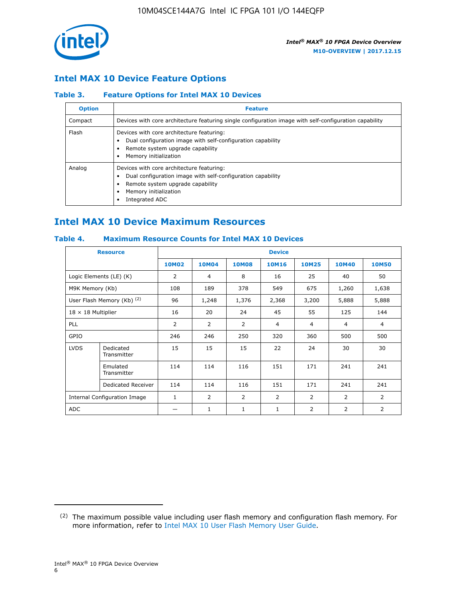

## **Intel MAX 10 Device Feature Options**

### **Table 3. Feature Options for Intel MAX 10 Devices**

| <b>Option</b> | <b>Feature</b>                                                                                                                                                                          |
|---------------|-----------------------------------------------------------------------------------------------------------------------------------------------------------------------------------------|
| Compact       | Devices with core architecture featuring single configuration image with self-configuration capability                                                                                  |
| Flash         | Devices with core architecture featuring:<br>Dual configuration image with self-configuration capability<br>Remote system upgrade capability<br>Memory initialization                   |
| Analog        | Devices with core architecture featuring:<br>Dual configuration image with self-configuration capability<br>Remote system upgrade capability<br>Memory initialization<br>Integrated ADC |

## **Intel MAX 10 Device Maximum Resources**

## **Table 4. Maximum Resource Counts for Intel MAX 10 Devices**

| <b>Resource</b>                     |                            |              |                |              | <b>Device</b>  |                |              |                |
|-------------------------------------|----------------------------|--------------|----------------|--------------|----------------|----------------|--------------|----------------|
|                                     |                            | <b>10M02</b> | 10M04          | <b>10M08</b> | <b>10M16</b>   | <b>10M25</b>   | <b>10M40</b> | <b>10M50</b>   |
|                                     | Logic Elements (LE) (K)    | 2            | 4              | 8            | 16             | 25             | 40           | 50             |
| M9K Memory (Kb)                     |                            | 108          | 189            | 378          | 549            | 675            | 1,260        | 1,638          |
|                                     | User Flash Memory (Kb) (2) | 96           | 1,248          | 1,376        | 2,368          | 3,200          | 5,888        | 5,888          |
| $18 \times 18$ Multiplier           |                            | 16           | 20             | 24           | 45             | 55             | 125          | 144            |
| <b>PLL</b>                          |                            | 2            | $\overline{2}$ | 2            | $\overline{4}$ | $\overline{4}$ | 4            | $\overline{4}$ |
| GPIO                                |                            | 246          | 246            | 250          | 320            | 360            | 500          | 500            |
| <b>LVDS</b>                         | Dedicated<br>Transmitter   | 15           | 15             | 15           | 22             | 24             | 30           | 30             |
|                                     | Emulated<br>Transmitter    | 114          | 114            | 116          | 151            | 171            | 241          | 241            |
|                                     | Dedicated Receiver         | 114          | 114            | 116          | 151            | 171            | 241          | 241            |
| <b>Internal Configuration Image</b> |                            | $\mathbf{1}$ | $\overline{2}$ | 2            | $\overline{2}$ | $\overline{2}$ | 2            | $\overline{2}$ |
| ADC                                 |                            |              | 1              | $\mathbf{1}$ | $\mathbf{1}$   | 2              | 2            | 2              |

<sup>(2)</sup> The maximum possible value including user flash memory and configuration flash memory. For more information, refer to [Intel MAX 10 User Flash Memory User Guide](https://www.altera.com/documentation/vgo1395753117436.html#vgo1395811844282).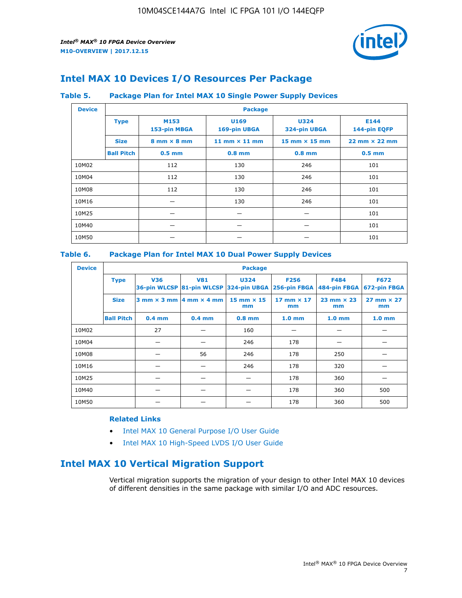

## **Intel MAX 10 Devices I/O Resources Per Package**

#### **Table 5. Package Plan for Intel MAX 10 Single Power Supply Devices**

| <b>Device</b> |                   | <b>Package</b>                     |                      |                                      |                                      |  |  |  |
|---------------|-------------------|------------------------------------|----------------------|--------------------------------------|--------------------------------------|--|--|--|
|               | <b>Type</b>       | M153<br>153-pin MBGA               | U169<br>169-pin UBGA | <b>U324</b><br>324-pin UBGA          | E144<br>144-pin EQFP                 |  |  |  |
|               | <b>Size</b>       | $8 \text{ mm} \times 8 \text{ mm}$ | 11 mm $\times$ 11 mm | $15 \text{ mm} \times 15 \text{ mm}$ | $22 \text{ mm} \times 22 \text{ mm}$ |  |  |  |
|               | <b>Ball Pitch</b> | $0.5$ mm                           | $0.8$ mm             | $0.8$ mm                             | $0.5$ mm                             |  |  |  |
| 10M02         |                   | 112                                | 130                  | 246                                  | 101                                  |  |  |  |
| 10M04         |                   | 112                                | 130                  | 246                                  | 101                                  |  |  |  |
| 10M08         |                   | 112                                | 130                  | 246                                  | 101                                  |  |  |  |
| 10M16         |                   |                                    | 130                  | 246                                  | 101                                  |  |  |  |
| 10M25         |                   |                                    |                      |                                      | 101                                  |  |  |  |
| 10M40         |                   |                                    |                      |                                      | 101                                  |  |  |  |
| 10M50         |                   |                                    |                      |                                      | 101                                  |  |  |  |

## **Table 6. Package Plan for Intel MAX 10 Dual Power Supply Devices**

| <b>Device</b> |                   | <b>Package</b> |                                                 |                                                                    |                         |                           |                             |  |  |
|---------------|-------------------|----------------|-------------------------------------------------|--------------------------------------------------------------------|-------------------------|---------------------------|-----------------------------|--|--|
|               | <b>Type</b>       | <b>V36</b>     | <b>V81</b>                                      | <b>U324</b><br>36-pin WLCSP 81-pin WLCSP 324-pin UBGA 256-pin FBGA | <b>F256</b>             | F484<br>484-pin FBGA      | <b>F672</b><br>672-pin FBGA |  |  |
|               | <b>Size</b>       |                | $3$ mm $\times$ 3 mm $\vert$ 4 mm $\times$ 4 mm | $15$ mm $\times$ 15<br>mm                                          | 17 mm $\times$ 17<br>mm | $23$ mm $\times$ 23<br>mm | $27$ mm $\times$ 27<br>mm   |  |  |
|               | <b>Ball Pitch</b> | $0.4$ mm       | $0.4$ mm                                        | $0.8$ mm                                                           | 1.0 <sub>mm</sub>       | 1.0 <sub>mm</sub>         | 1.0 <sub>mm</sub>           |  |  |
| 10M02         |                   | 27             |                                                 | 160                                                                |                         |                           |                             |  |  |
| 10M04         |                   |                |                                                 | 246                                                                | 178                     |                           |                             |  |  |
| 10M08         |                   |                | 56                                              | 246                                                                | 178                     | 250                       |                             |  |  |
| 10M16         |                   |                |                                                 | 246                                                                | 178                     | 320                       |                             |  |  |
| 10M25         |                   |                |                                                 |                                                                    | 178                     | 360                       |                             |  |  |
| 10M40         |                   |                |                                                 |                                                                    | 178                     | 360                       | 500                         |  |  |
| 10M50         |                   |                |                                                 |                                                                    | 178                     | 360                       | 500                         |  |  |

## **Related Links**

- [Intel MAX 10 General Purpose I/O User Guide](https://www.altera.com/documentation/sam1393999966669.html#sam1394000084476)
- [Intel MAX 10 High-Speed LVDS I/O User Guide](https://www.altera.com/documentation/sam1394433606063.html#sam1394433911642)

## **Intel MAX 10 Vertical Migration Support**

Vertical migration supports the migration of your design to other Intel MAX 10 devices of different densities in the same package with similar I/O and ADC resources.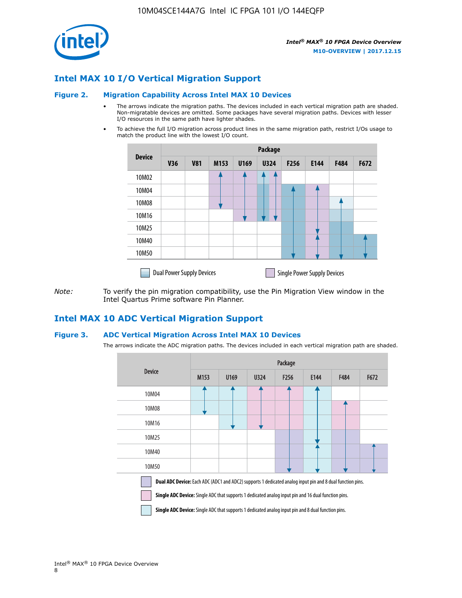

## **Intel MAX 10 I/O Vertical Migration Support**

#### **Figure 2. Migration Capability Across Intel MAX 10 Devices**

- The arrows indicate the migration paths. The devices included in each vertical migration path are shaded. Non-migratable devices are omitted. Some packages have several migration paths. Devices with lesser I/O resources in the same path have lighter shades.
- To achieve the full I/O migration across product lines in the same migration path, restrict I/Os usage to match the product line with the lowest I/O count.

|               | Package                          |            |      |      |             |      |                                    |      |      |
|---------------|----------------------------------|------------|------|------|-------------|------|------------------------------------|------|------|
| <b>Device</b> | <b>V36</b>                       | <b>V81</b> | M153 | U169 | <b>U324</b> | F256 | E144                               | F484 | F672 |
| 10M02         |                                  |            |      |      | 7           |      |                                    |      |      |
| 10M04         |                                  |            |      |      |             |      |                                    |      |      |
| 10M08         |                                  |            |      |      |             |      |                                    |      |      |
| 10M16         |                                  |            |      |      |             |      |                                    |      |      |
| 10M25         |                                  |            |      |      |             |      |                                    |      |      |
| 10M40         |                                  |            |      |      |             |      |                                    |      |      |
| 10M50         |                                  |            |      |      |             |      |                                    |      |      |
|               | <b>Dual Power Supply Devices</b> |            |      |      |             |      | <b>Single Power Supply Devices</b> |      |      |

*Note:* To verify the pin migration compatibility, use the Pin Migration View window in the Intel Quartus Prime software Pin Planner.

## **Intel MAX 10 ADC Vertical Migration Support**

#### **Figure 3. ADC Vertical Migration Across Intel MAX 10 Devices**

The arrows indicate the ADC migration paths. The devices included in each vertical migration path are shaded.

|                                                                                                                                                                                                                         | Package          |      |      |                  |      |             |      |  |  |
|-------------------------------------------------------------------------------------------------------------------------------------------------------------------------------------------------------------------------|------------------|------|------|------------------|------|-------------|------|--|--|
| <b>Device</b>                                                                                                                                                                                                           | M <sub>153</sub> | U169 | U324 | F <sub>256</sub> | E144 | <b>F484</b> | F672 |  |  |
| 10M04                                                                                                                                                                                                                   |                  |      |      |                  |      |             |      |  |  |
| 10M08                                                                                                                                                                                                                   |                  |      |      |                  |      |             |      |  |  |
| 10M16                                                                                                                                                                                                                   |                  |      |      |                  |      |             |      |  |  |
| 10M25                                                                                                                                                                                                                   |                  |      |      |                  |      |             |      |  |  |
| 10M40                                                                                                                                                                                                                   |                  |      |      |                  |      |             |      |  |  |
| 10M50                                                                                                                                                                                                                   |                  |      |      |                  |      |             |      |  |  |
| <b>Dual ADC Device:</b> Each ADC (ADC1 and ADC2) supports 1 dedicated analog input pin and 8 dual function pins.<br>Single ADC Device: Single ADC that supports 1 dedicated analog input pin and 16 dual function pins. |                  |      |      |                  |      |             |      |  |  |

**Single ADC Device:** Single ADC that supports 1 dedicated analog input pin and 8 dual function pins.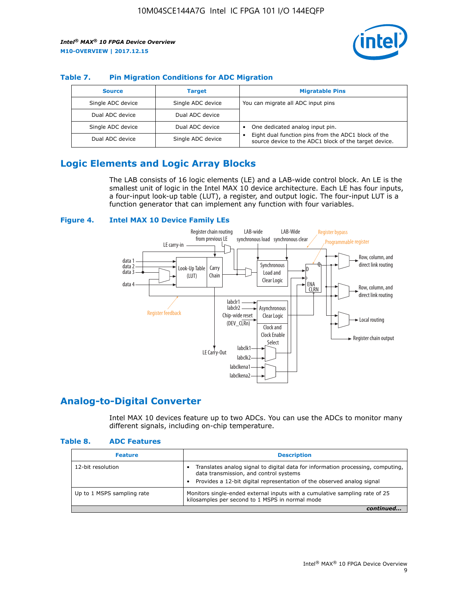

## **Table 7. Pin Migration Conditions for ADC Migration**

| <b>Source</b>     | <b>Target</b>     | <b>Migratable Pins</b>                                                                                            |
|-------------------|-------------------|-------------------------------------------------------------------------------------------------------------------|
| Single ADC device | Single ADC device | You can migrate all ADC input pins                                                                                |
| Dual ADC device   | Dual ADC device   |                                                                                                                   |
| Single ADC device | Dual ADC device   | One dedicated analog input pin.                                                                                   |
| Dual ADC device   | Single ADC device | Eight dual function pins from the ADC1 block of the<br>٠<br>source device to the ADC1 block of the target device. |

## **Logic Elements and Logic Array Blocks**

The LAB consists of 16 logic elements (LE) and a LAB-wide control block. An LE is the smallest unit of logic in the Intel MAX 10 device architecture. Each LE has four inputs, a four-input look-up table (LUT), a register, and output logic. The four-input LUT is a function generator that can implement any function with four variables.

#### **Figure 4. Intel MAX 10 Device Family LEs**



## **Analog-to-Digital Converter**

Intel MAX 10 devices feature up to two ADCs. You can use the ADCs to monitor many different signals, including on-chip temperature.

#### **Table 8. ADC Features**

| <b>Feature</b>             | <b>Description</b>                                                                                                                                                                                  |
|----------------------------|-----------------------------------------------------------------------------------------------------------------------------------------------------------------------------------------------------|
| 12-bit resolution          | Translates analog signal to digital data for information processing, computing,<br>data transmission, and control systems<br>Provides a 12-bit digital representation of the observed analog signal |
| Up to 1 MSPS sampling rate | Monitors single-ended external inputs with a cumulative sampling rate of 25<br>kilosamples per second to 1 MSPS in normal mode                                                                      |
|                            |                                                                                                                                                                                                     |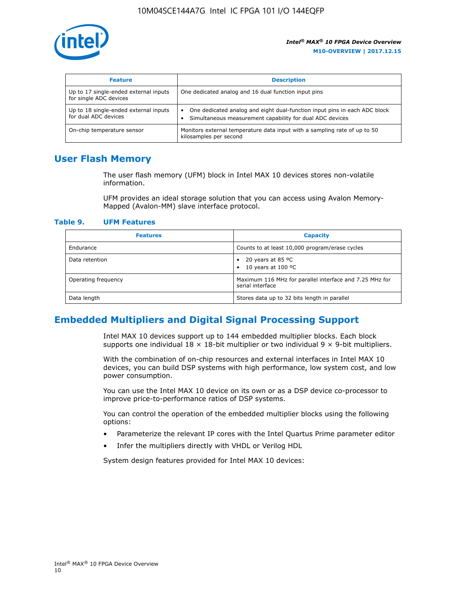

| <b>Feature</b>                                                  | <b>Description</b>                                                                                                                         |
|-----------------------------------------------------------------|--------------------------------------------------------------------------------------------------------------------------------------------|
| Up to 17 single-ended external inputs<br>for single ADC devices | One dedicated analog and 16 dual function input pins                                                                                       |
| Up to 18 single-ended external inputs<br>for dual ADC devices   | One dedicated analog and eight dual-function input pins in each ADC block<br>٠<br>Simultaneous measurement capability for dual ADC devices |
| On-chip temperature sensor                                      | Monitors external temperature data input with a sampling rate of up to 50<br>kilosamples per second                                        |

## **User Flash Memory**

The user flash memory (UFM) block in Intel MAX 10 devices stores non-volatile information.

UFM provides an ideal storage solution that you can access using Avalon Memory-Mapped (Avalon-MM) slave interface protocol.

#### **Table 9. UFM Features**

| <b>Features</b>     | <b>Capacity</b>                                                             |
|---------------------|-----------------------------------------------------------------------------|
| Endurance           | Counts to at least 10,000 program/erase cycles                              |
| Data retention      | 20 years at 85 $^{\circ}$ C<br>٠<br>10 years at 100 °C<br>$\bullet$         |
| Operating frequency | Maximum 116 MHz for parallel interface and 7.25 MHz for<br>serial interface |
| Data length         | Stores data up to 32 bits length in parallel                                |

## **Embedded Multipliers and Digital Signal Processing Support**

Intel MAX 10 devices support up to 144 embedded multiplier blocks. Each block supports one individual  $18 \times 18$ -bit multiplier or two individual  $9 \times 9$ -bit multipliers.

With the combination of on-chip resources and external interfaces in Intel MAX 10 devices, you can build DSP systems with high performance, low system cost, and low power consumption.

You can use the Intel MAX 10 device on its own or as a DSP device co-processor to improve price-to-performance ratios of DSP systems.

You can control the operation of the embedded multiplier blocks using the following options:

- Parameterize the relevant IP cores with the Intel Quartus Prime parameter editor
- Infer the multipliers directly with VHDL or Verilog HDL

System design features provided for Intel MAX 10 devices: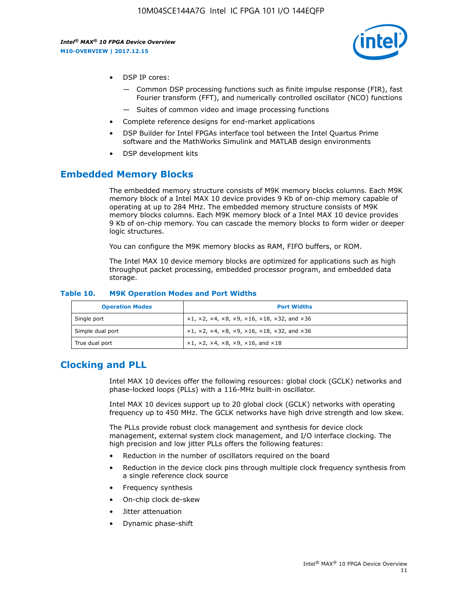

- DSP IP cores:
	- Common DSP processing functions such as finite impulse response (FIR), fast Fourier transform (FFT), and numerically controlled oscillator (NCO) functions
	- Suites of common video and image processing functions
- Complete reference designs for end-market applications
- DSP Builder for Intel FPGAs interface tool between the Intel Quartus Prime software and the MathWorks Simulink and MATLAB design environments
- DSP development kits

## **Embedded Memory Blocks**

The embedded memory structure consists of M9K memory blocks columns. Each M9K memory block of a Intel MAX 10 device provides 9 Kb of on-chip memory capable of operating at up to 284 MHz. The embedded memory structure consists of M9K memory blocks columns. Each M9K memory block of a Intel MAX 10 device provides 9 Kb of on-chip memory. You can cascade the memory blocks to form wider or deeper logic structures.

You can configure the M9K memory blocks as RAM, FIFO buffers, or ROM.

The Intel MAX 10 device memory blocks are optimized for applications such as high throughput packet processing, embedded processor program, and embedded data storage.

| <b>Operation Modes</b> | <b>Port Widths</b>                                                                       |
|------------------------|------------------------------------------------------------------------------------------|
| Single port            | $x1, x2, x4, x8, x9, x16, x18, x32, and x36$                                             |
| Simple dual port       | $x1, x2, x4, x8, x9, x16, x18, x32, and x36$                                             |
| True dual port         | $\times$ 1, $\times$ 2, $\times$ 4, $\times$ 8, $\times$ 9, $\times$ 16, and $\times$ 18 |

#### **Table 10. M9K Operation Modes and Port Widths**

## **Clocking and PLL**

Intel MAX 10 devices offer the following resources: global clock (GCLK) networks and phase-locked loops (PLLs) with a 116-MHz built-in oscillator.

Intel MAX 10 devices support up to 20 global clock (GCLK) networks with operating frequency up to 450 MHz. The GCLK networks have high drive strength and low skew.

The PLLs provide robust clock management and synthesis for device clock management, external system clock management, and I/O interface clocking. The high precision and low jitter PLLs offers the following features:

- Reduction in the number of oscillators required on the board
- Reduction in the device clock pins through multiple clock frequency synthesis from a single reference clock source
- Frequency synthesis
- On-chip clock de-skew
- Jitter attenuation
- Dynamic phase-shift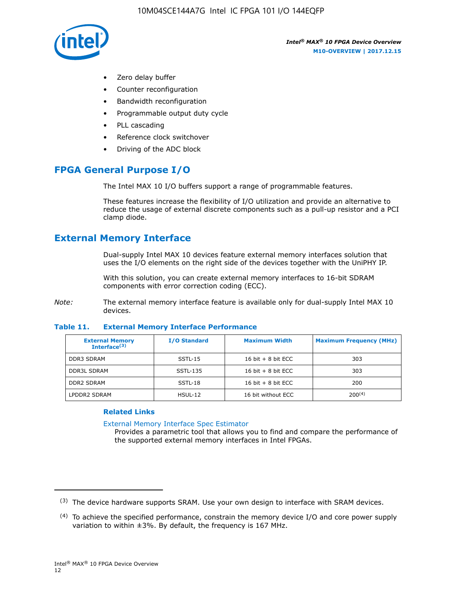

- Zero delay buffer
- Counter reconfiguration
- Bandwidth reconfiguration
- Programmable output duty cycle
- PLL cascading
- Reference clock switchover
- Driving of the ADC block

## **FPGA General Purpose I/O**

The Intel MAX 10 I/O buffers support a range of programmable features.

These features increase the flexibility of I/O utilization and provide an alternative to reduce the usage of external discrete components such as a pull-up resistor and a PCI clamp diode.

## **External Memory Interface**

Dual-supply Intel MAX 10 devices feature external memory interfaces solution that uses the I/O elements on the right side of the devices together with the UniPHY IP.

With this solution, you can create external memory interfaces to 16-bit SDRAM components with error correction coding (ECC).

*Note:* The external memory interface feature is available only for dual-supply Intel MAX 10 devices.

#### **Table 11. External Memory Interface Performance**

| <b>External Memory</b><br>Interface $(3)$ | <b>I/O Standard</b> | <b>Maximum Width</b> | <b>Maximum Frequency (MHz)</b> |
|-------------------------------------------|---------------------|----------------------|--------------------------------|
| <b>DDR3 SDRAM</b>                         | $SSTL-15$           | 16 bit $+8$ bit ECC  | 303                            |
| <b>DDR3L SDRAM</b>                        | SSTL-135            | 16 bit $+8$ bit ECC  | 303                            |
| <b>DDR2 SDRAM</b>                         | SSTL-18             | 16 bit $+8$ bit ECC  | 200                            |
| LPDDR2 SDRAM                              | HSUL-12             | 16 bit without ECC   | $200^{(4)}$                    |

## **Related Links**

[External Memory Interface Spec Estimator](http://www.altera.com/technology/memory/estimator/mem-emif-index.html)

Provides a parametric tool that allows you to find and compare the performance of the supported external memory interfaces in Intel FPGAs.

 $(3)$  The device hardware supports SRAM. Use your own design to interface with SRAM devices.

 $(4)$  To achieve the specified performance, constrain the memory device I/O and core power supply variation to within ±3%. By default, the frequency is 167 MHz.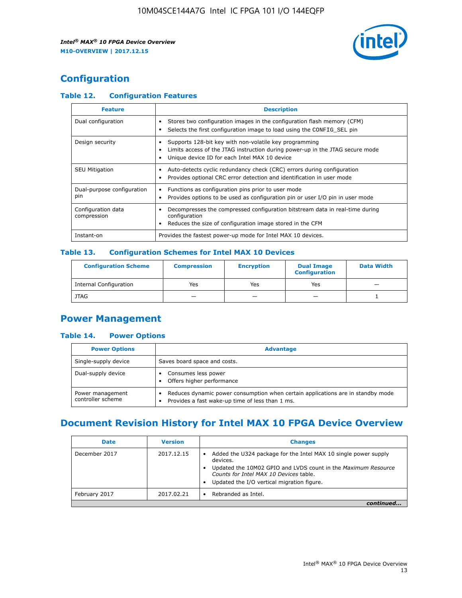

## **Configuration**

## **Table 12. Configuration Features**

| <b>Feature</b>                    | <b>Description</b>                                                                                                                                                                       |
|-----------------------------------|------------------------------------------------------------------------------------------------------------------------------------------------------------------------------------------|
| Dual configuration                | Stores two configuration images in the configuration flash memory (CFM)<br>Selects the first configuration image to load using the CONFIG SEL pin                                        |
| Design security                   | Supports 128-bit key with non-volatile key programming<br>Limits access of the JTAG instruction during power-up in the JTAG secure mode<br>Unique device ID for each Intel MAX 10 device |
| <b>SEU Mitigation</b>             | Auto-detects cyclic redundancy check (CRC) errors during configuration<br>Provides optional CRC error detection and identification in user mode                                          |
| Dual-purpose configuration<br>pin | Functions as configuration pins prior to user mode<br>$\bullet$<br>Provides options to be used as configuration pin or user I/O pin in user mode                                         |
| Configuration data<br>compression | Decompresses the compressed configuration bitstream data in real-time during<br>configuration<br>Reduces the size of configuration image stored in the CFM                               |
| Instant-on                        | Provides the fastest power-up mode for Intel MAX 10 devices.                                                                                                                             |

#### **Table 13. Configuration Schemes for Intel MAX 10 Devices**

| <b>Configuration Scheme</b> | <b>Compression</b> | <b>Encryption</b> | <b>Dual Image</b><br><b>Configuration</b> | <b>Data Width</b> |
|-----------------------------|--------------------|-------------------|-------------------------------------------|-------------------|
| Internal Configuration      | Yes                | Yes               | Yes                                       |                   |
| <b>JTAG</b>                 | _                  |                   | -                                         |                   |

## **Power Management**

## **Table 14. Power Options**

| <b>Power Options</b>                  | <b>Advantage</b>                                                                                                                        |
|---------------------------------------|-----------------------------------------------------------------------------------------------------------------------------------------|
| Single-supply device                  | Saves board space and costs.                                                                                                            |
| Dual-supply device                    | Consumes less power<br>Offers higher performance<br>$\bullet$                                                                           |
| Power management<br>controller scheme | Reduces dynamic power consumption when certain applications are in standby mode<br>Provides a fast wake-up time of less than 1 ms.<br>٠ |

## **Document Revision History for Intel MAX 10 FPGA Device Overview**

| <b>Date</b>   | <b>Version</b> | <b>Changes</b>                                                                                                                                                                                                                       |
|---------------|----------------|--------------------------------------------------------------------------------------------------------------------------------------------------------------------------------------------------------------------------------------|
| December 2017 | 2017.12.15     | Added the U324 package for the Intel MAX 10 single power supply<br>devices.<br>Updated the 10M02 GPIO and LVDS count in the Maximum Resource<br>Counts for Intel MAX 10 Devices table.<br>Updated the I/O vertical migration figure. |
| February 2017 | 2017.02.21     | Rebranded as Intel.                                                                                                                                                                                                                  |
|               |                |                                                                                                                                                                                                                                      |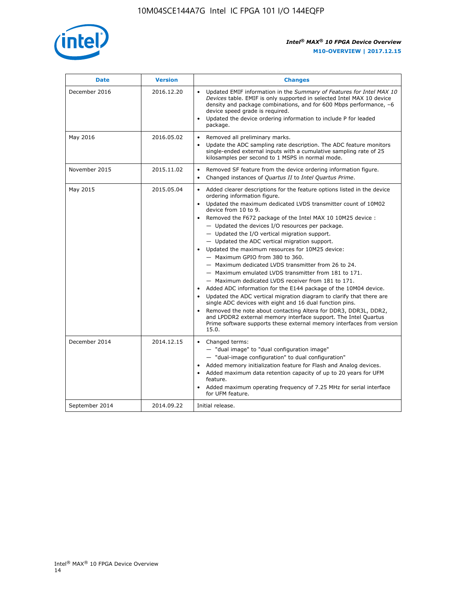

| <b>Date</b>    | <b>Version</b> | <b>Changes</b>                                                                                                                                                                                                                                                                                                                                                                                                                                                                                                                                                                                                                                                                                                                                                                                                                                                                                                                                                                                                                                                                                                                             |
|----------------|----------------|--------------------------------------------------------------------------------------------------------------------------------------------------------------------------------------------------------------------------------------------------------------------------------------------------------------------------------------------------------------------------------------------------------------------------------------------------------------------------------------------------------------------------------------------------------------------------------------------------------------------------------------------------------------------------------------------------------------------------------------------------------------------------------------------------------------------------------------------------------------------------------------------------------------------------------------------------------------------------------------------------------------------------------------------------------------------------------------------------------------------------------------------|
| December 2016  | 2016.12.20     | • Updated EMIF information in the Summary of Features for Intel MAX 10<br>Devices table. EMIF is only supported in selected Intel MAX 10 device<br>density and package combinations, and for 600 Mbps performance, -6<br>device speed grade is required.<br>Updated the device ordering information to include P for leaded<br>package.                                                                                                                                                                                                                                                                                                                                                                                                                                                                                                                                                                                                                                                                                                                                                                                                    |
| May 2016       | 2016.05.02     | Removed all preliminary marks.<br>Update the ADC sampling rate description. The ADC feature monitors<br>$\bullet$<br>single-ended external inputs with a cumulative sampling rate of 25<br>kilosamples per second to 1 MSPS in normal mode.                                                                                                                                                                                                                                                                                                                                                                                                                                                                                                                                                                                                                                                                                                                                                                                                                                                                                                |
| November 2015  | 2015.11.02     | Removed SF feature from the device ordering information figure.<br>$\bullet$<br>Changed instances of Quartus II to Intel Quartus Prime.<br>$\bullet$                                                                                                                                                                                                                                                                                                                                                                                                                                                                                                                                                                                                                                                                                                                                                                                                                                                                                                                                                                                       |
| May 2015       | 2015.05.04     | Added clearer descriptions for the feature options listed in the device<br>$\bullet$<br>ordering information figure.<br>• Updated the maximum dedicated LVDS transmitter count of 10M02<br>device from 10 to 9.<br>Removed the F672 package of the Intel MAX 10 10M25 device:<br>- Updated the devices I/O resources per package.<br>- Updated the I/O vertical migration support.<br>- Updated the ADC vertical migration support.<br>Updated the maximum resources for 10M25 device:<br>- Maximum GPIO from 380 to 360.<br>- Maximum dedicated LVDS transmitter from 26 to 24.<br>- Maximum emulated LVDS transmitter from 181 to 171.<br>- Maximum dedicated LVDS receiver from 181 to 171.<br>Added ADC information for the E144 package of the 10M04 device.<br>$\bullet$<br>Updated the ADC vertical migration diagram to clarify that there are<br>single ADC devices with eight and 16 dual function pins.<br>Removed the note about contacting Altera for DDR3, DDR3L, DDR2,<br>and LPDDR2 external memory interface support. The Intel Quartus<br>Prime software supports these external memory interfaces from version<br>15.0. |
| December 2014  | 2014.12.15     | Changed terms:<br>$\bullet$<br>- "dual image" to "dual configuration image"<br>- "dual-image configuration" to dual configuration"<br>Added memory initialization feature for Flash and Analog devices.<br>$\bullet$<br>Added maximum data retention capacity of up to 20 years for UFM<br>$\bullet$<br>feature.<br>Added maximum operating frequency of 7.25 MHz for serial interface<br>for UFM feature.                                                                                                                                                                                                                                                                                                                                                                                                                                                                                                                                                                                                                                                                                                                                 |
| September 2014 | 2014.09.22     | Initial release.                                                                                                                                                                                                                                                                                                                                                                                                                                                                                                                                                                                                                                                                                                                                                                                                                                                                                                                                                                                                                                                                                                                           |